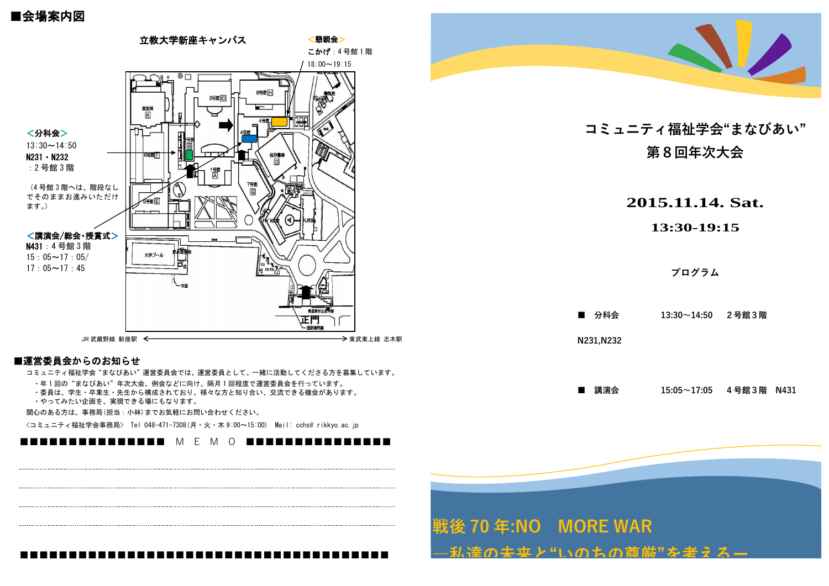## ■会場案内図